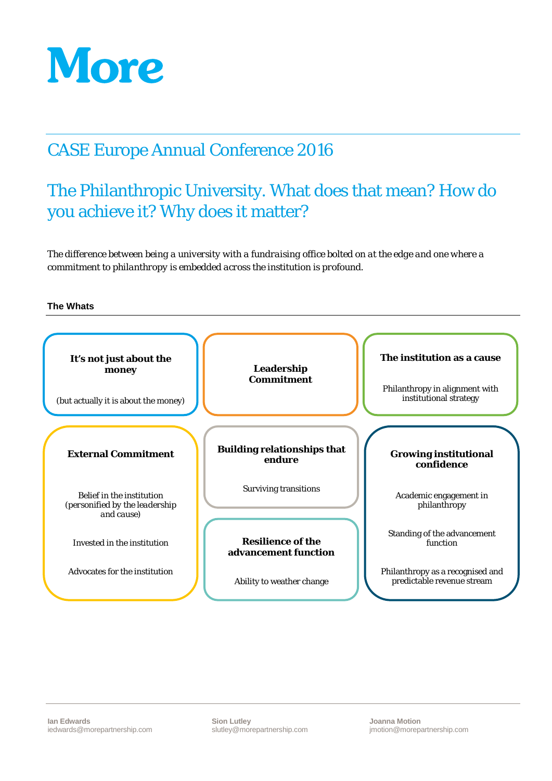

## CASE Europe Annual Conference 2016

# The Philanthropic University. What does that mean? How do you achieve it? Why does it matter?

*The difference between being a university with a fundraising office bolted on at the edge and one where a commitment to philanthropy is embedded across the institution is profound.*

#### **The Whats**